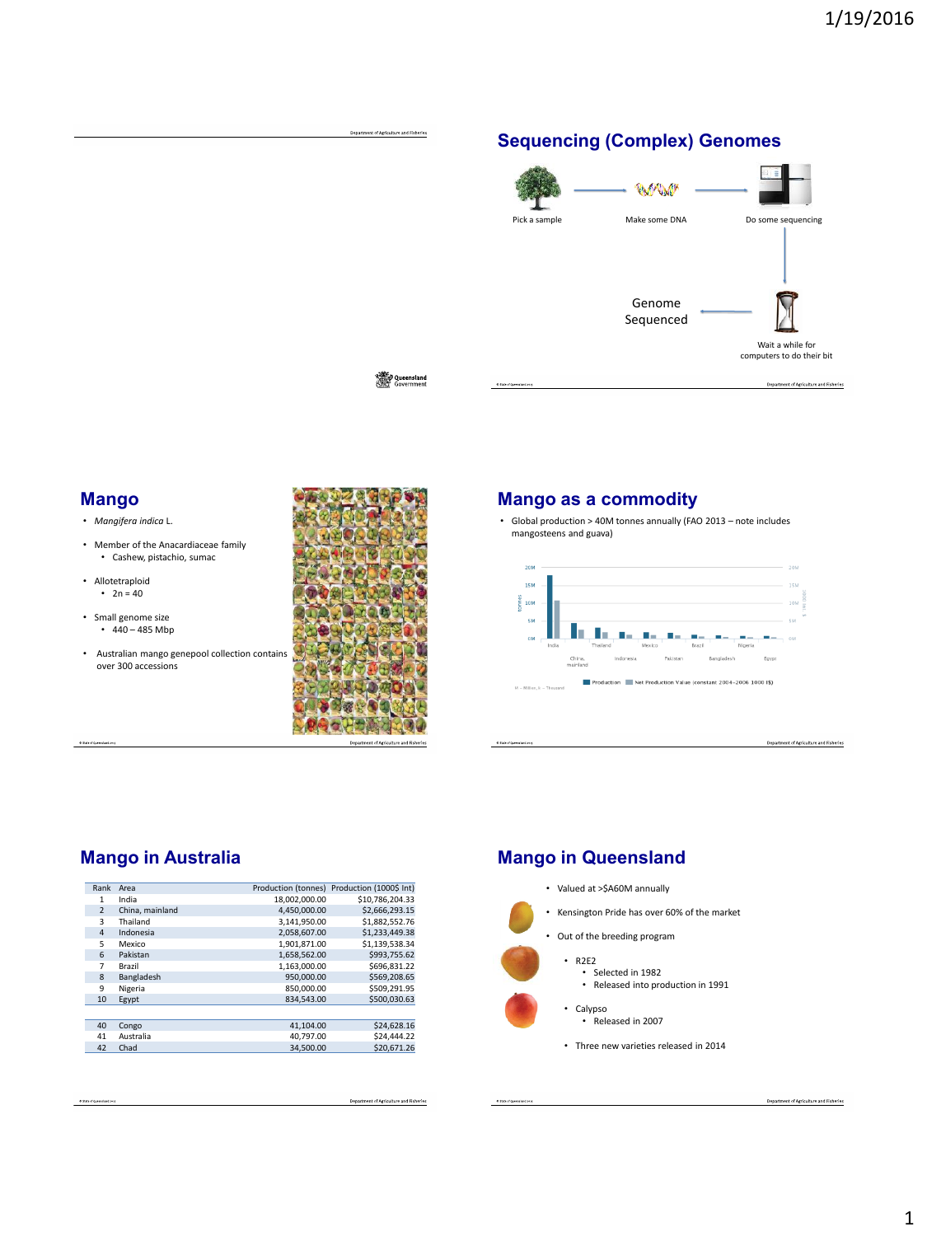

Queensland<br>Covernment

Department of Agriculture and Fisheries

# **Mango**

- *Mangifera indica* L.
- Member of the Anacardiaceae family • Cashew, pistachio, sumac
- Allotetraploid
- $2n = 40$
- Small genome size •  $440 - 485$  Mbp
- Australian mango genepool collection contains over 300 accessions



Department of Agriculture and Fisheries

## **Mango as a commodity**

• Global production > 40M tonnes annually (FAO 2013 – note includes mangosteens and guava)



## **Mango in Australia**

| Rank           | Area            |               | Production (tonnes) Production (1000\$ Int) |
|----------------|-----------------|---------------|---------------------------------------------|
| 1              | India           | 18.002.000.00 | \$10,786,204.33                             |
| $\overline{2}$ | China, mainland | 4,450,000.00  | \$2,666,293.15                              |
| 3              | Thailand        | 3.141.950.00  | \$1,882,552,76                              |
| $\overline{4}$ | Indonesia       | 2,058,607.00  | \$1,233,449.38                              |
| 5              | Mexico          | 1,901,871.00  | \$1,139,538.34                              |
| 6              | Pakistan        | 1,658,562.00  | \$993.755.62                                |
| 7              | <b>Brazil</b>   | 1.163.000.00  | \$696.831.22                                |
| 8              | Bangladesh      | 950.000.00    | \$569,208.65                                |
| 9              | Nigeria         | 850.000.00    | \$509.291.95                                |
| 10             | Egypt           | 834.543.00    | \$500.030.63                                |
|                |                 |               |                                             |
| 40             | Congo           | 41.104.00     | \$24,628.16                                 |
| 41             | Australia       | 40.797.00     | \$24,444.22                                 |
| 42             | Chad            | 34.500.00     | \$20,671.26                                 |
|                |                 |               |                                             |

# **Mango in Queensland**

• Valued at >\$A60M annually

• Kensington Pride has over 60% of the market

- Out of the breeding program
- R2E2
	- Selected in 1982 • Released into production in 1991
	- Calypso
		- Released in 2007
	- Three new varieties released in 2014

nt of Agriculture and Fisheries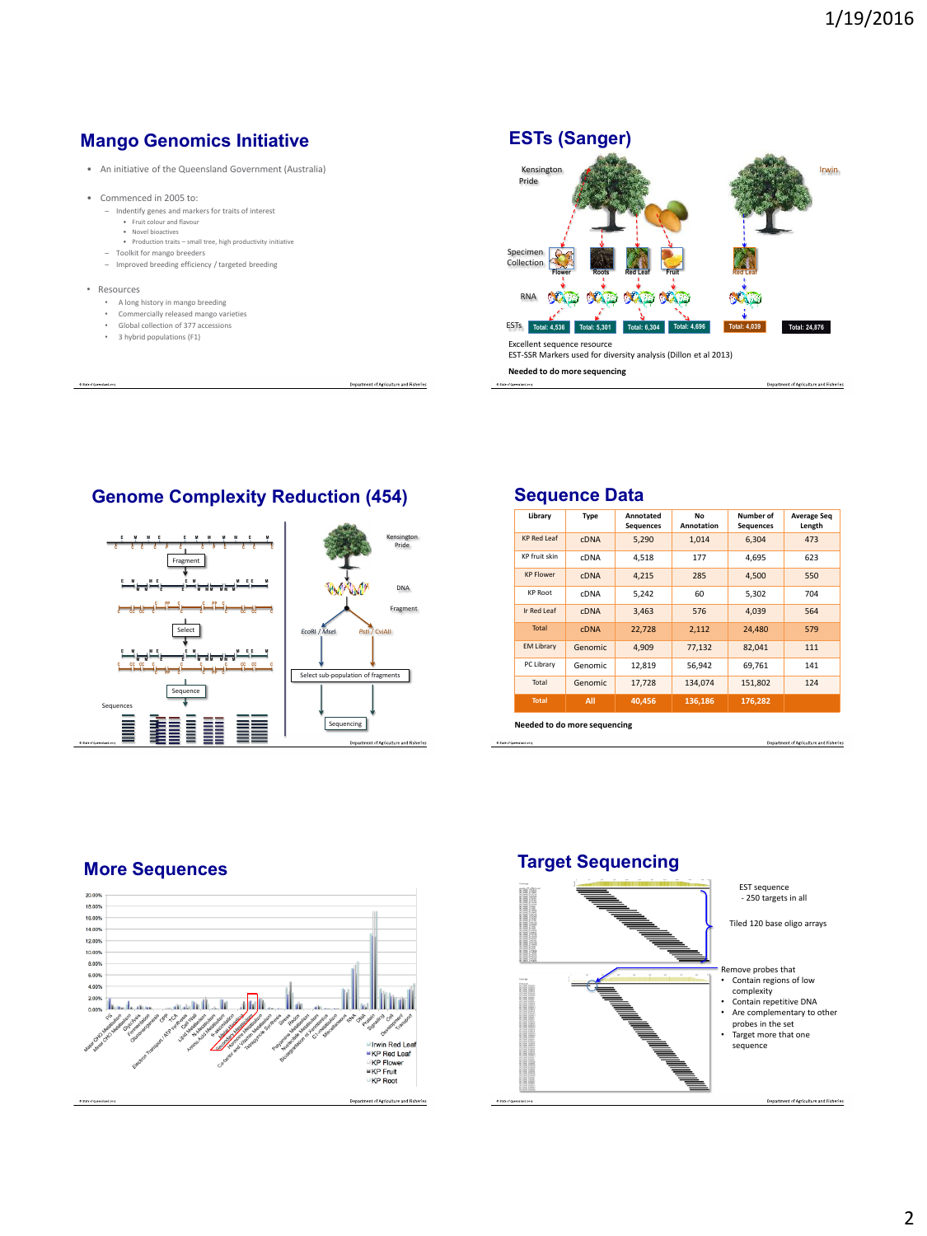# **Mango Genomics Initiative**

- An initiative of the Queensland Government (Australia)
- Commenced in 2005 to:
	- Indentify genes and markers for traits of interest • Fruit colour and flavour
		- Novel bioactives
		- Production traits small tree, high productivity initiative
	- Toolkit for mango breeders – Improved breeding efficiency / targeted breeding
	-
- Resources
	- A long history in mango breeding
	- Commercially released mango varieties
	- Global collection of 377 accessions
	- 3 hybrid populations (F1)



**Needed to do more sequencing**

iture and Fisheries

# **Genome Complexity Reduction (454)**



#### **Library Type Annotated Sequences No Annotation Number of** Sequences **Average Seq Length** KP Red Leaf CDNA 5,290 1,014 6,304 473 KP fruit skin CDNA 4,518 177 4,695 623 KP Flower cDNA 4,215 285 4,500 550 KP Root CDNA 5,242 60 5,302 704 Ir Red Leaf cDNA 3,463 576 4,039 564 Total cDNA 22,728 2,112 24,480 579 EM Library Genomic 4,909 77,132 82,041 111 PC Library Genomic 12,819 56,942 69,761 141 Total Genomic 17,728 134,074 151,802 124 **Total All 40,456 136,186 176,282**

**Needed to do more sequencing**

Department of Agriculture and Fisherie

# **More Sequences**



## **Target Sequencing**



# **Sequence Data**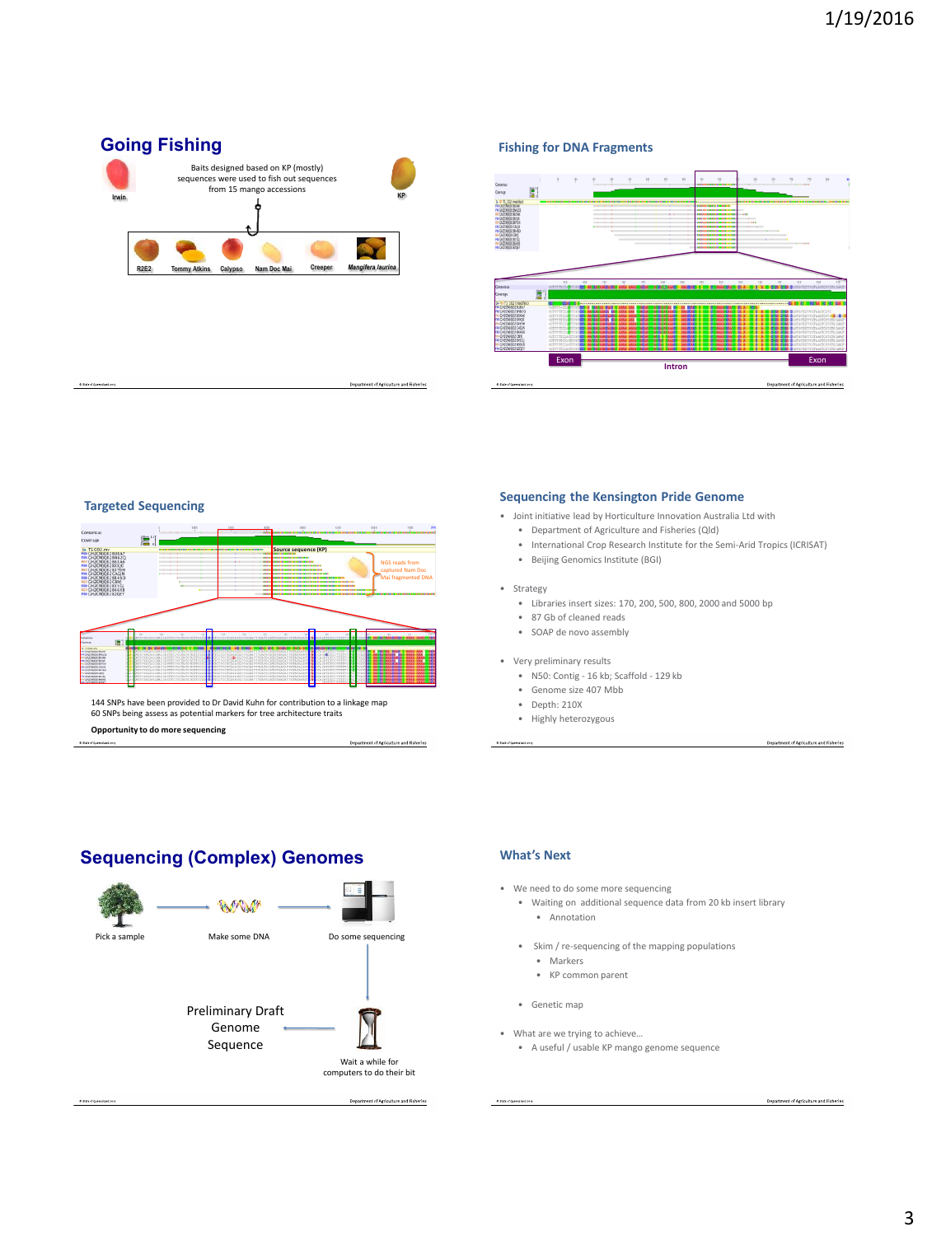



## **Targeted Sequencing**



144 SNPs have been provided to Dr David Kuhn for contribution to a linkage map 60 SNPs being assess as potential markers for tree architecture traits **Opportunity to do more sequencing**

Department of Agriculture and Fisheries

## **Sequencing the Kensington Pride Genome**

• Joint initiative lead by Horticulture Innovation Australia Ltd with

- Department of Agriculture and Fisheries (Qld)
- International Crop Research Institute for the Semi-Arid Tropics (ICRISAT)
- Beijing Genomics Institute (BGI)

### • Strategy

- Libraries insert sizes: 170, 200, 500, 800, 2000 and 5000 bp
- 87 Gb of cleaned reads
- SOAP de novo assembly
- Very preliminary results
	- N50: Contig 16 kb; Scaffold 129 kb
	- Genome size 407 Mbb
	- Depth: 210X
	- Highly heterozygous

# **Sequencing (Complex) Genomes**



### **What's Next**

- We need to do some more sequencing
	- Waiting on additional sequence data from 20 kb insert library • Annotation
	- Skim / re-sequencing of the mapping populations
		- Markers
		- KP common parent
	- Genetic map
- What are we trying to achieve…
	- A useful / usable KP mango genome sequence

Department of Agriculture and Fisheries

Department of Agriculture and Fisheries